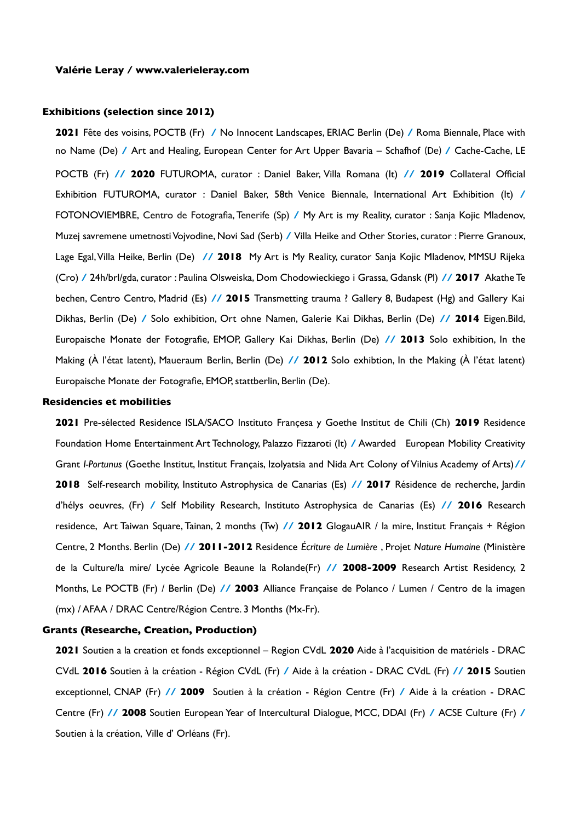# **Exhibitions (selection since 2012)**

**2021** Fête des voisins, POCTB (Fr) **/** No Innocent Landscapes, ERIAC Berlin (De) **/** Roma Biennale, Place with no Name (De) **/** Art and Healing, European Center for Art Upper Bavaria – Schafhof (De) **/** Cache-Cache, LE POCTB (Fr) **// 2020** FUTUROMA, curator : Daniel Baker, Villa Romana (It) **// 2019** Collateral Offcial Exhibition FUTUROMA, curator : Daniel Baker, 58th Venice Biennale, International Art Exhibition (It) **/** FOTONOVIEMBRE, Centro de Fotografa, Tenerife (Sp) **/** My Art is my Reality, curator : Sanja Kojic Mladenov, Muzej savremene umetnosti Vojvodine, Novi Sad (Serb) **/** Villa Heike and Other Stories, curator : Pierre Granoux, Lage Egal, Villa Heike, Berlin (De) **// 2018** My Art is My Reality, curator Sanja Kojic Mladenov, MMSU Rijeka (Cro) **/** 24h/brl/gda, curator : Paulina Olsweiska, Dom Chodowieckiego i Grassa, Gdansk (Pl) **// 2017** Akathe Te bechen, Centro Centro, Madrid (Es) **// 2015** Transmetting trauma ? Gallery 8, Budapest (Hg) and Gallery Kai Dikhas, Berlin (De) **/** Solo exhibition, Ort ohne Namen, Galerie Kai Dikhas, Berlin (De) **// 2014** Eigen.Bild, Europaische Monate der Fotografe, EMOP, Gallery Kai Dikhas, Berlin (De) **// 2013** Solo exhibition, In the Making (À l'état latent), Maueraum Berlin, Berlin (De) **// 2012** Solo exhibtion, In the Making (À l'état latent) Europaische Monate der Fotografe, EMOP, stattberlin, Berlin (De).

#### **Residencies et mobilities**

**2021** Pre-sélected Residence ISLA/SACO Instituto Françesa y Goethe Institut de Chili (Ch) **2019** Residence Foundation Home Entertainment Art Technology, Palazzo Fizzaroti (It) **/** Awarded European Mobility Creativity Grant *I-Portunus* (Goethe Institut, Institut Français, Izolyatsia and Nida Art Colony of Vilnius Academy of Arts)**// 2018** Self-research mobility, Instituto Astrophysica de Canarias (Es) **// 2017** Résidence de recherche, Jardin d'hélys oeuvres, (Fr) **/** Self Mobility Research, Instituto Astrophysica de Canarias (Es) **// 2016** Research residence, Art Taiwan Square, Tainan, 2 months (Tw) **// 2012** GlogauAIR / la mire, Institut Français + Région Centre, 2 Months. Berlin (De) **// 2011-2012** Residence *Écriture de Lumière* , Projet *Nature Humaine* (Ministère de la Culture/la mire/ Lycée Agricole Beaune la Rolande(Fr) **// 2008-2009** Research Artist Residency, 2 Months, Le POCTB (Fr) / Berlin (De) **// 2003** Alliance Française de Polanco / Lumen / Centro de la imagen (mx) / AFAA / DRAC Centre/Région Centre. 3 Months (Mx-Fr).

### **Grants (Researche, Creation, Production)**

**2021** Soutien a la creation et fonds exceptionnel – Region CVdL **2020** Aide à l'acquisition de matériels - DRAC CVdL **2016** Soutien à la création - Région CVdL (Fr) **/** Aide à la création - DRAC CVdL (Fr) **// 2015** Soutien exceptionnel, CNAP (Fr) **// 2009** Soutien à la création - Région Centre (Fr) **/** Aide à la création - DRAC Centre (Fr) **// 2008** Soutien European Year of Intercultural Dialogue, MCC, DDAI (Fr) **/** ACSE Culture (Fr) **/** Soutien à la création, Ville d' Orléans (Fr).